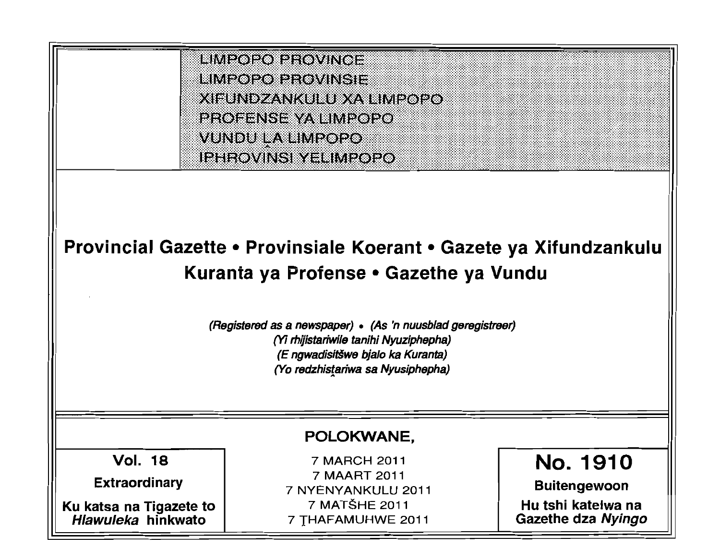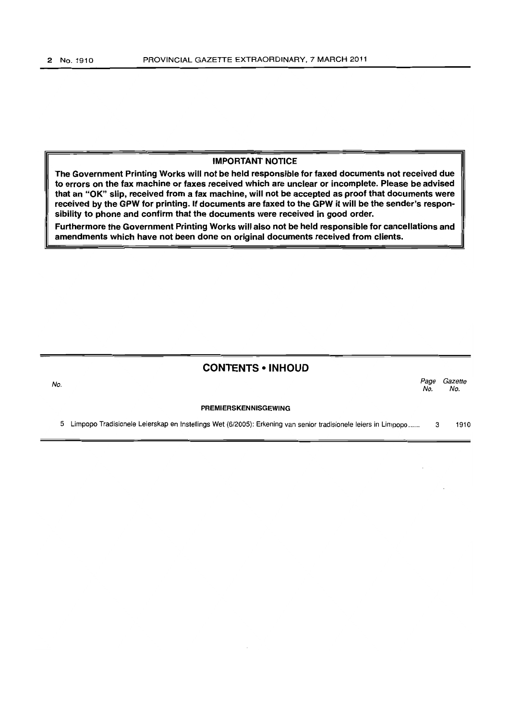### IMPORTANT NOTICE

The Government Printing Works will not be held responsible for faxed documents not received due to errors on the fax machine or faxes received which are unclear or incomplete. Please be advised that an "OK" slip, received from a fax machine, will not be accepted as proof that documents were received by the GPW for printing. If documents are faxed to the GPW it will be the sender's responsibility to phone and confirm that the documents were received in good order.

Furthermore the Government Printing Works will also not be held responsible for cancellations and amendments which have not been done on original documents received from clients.

## CONTENTS • INHOUD

No. *Page Gazette*  No. No.

#### PREMIERSKENNISGEWING

5 Limpopo Tradisionele Leierskap en Instellings Wet (6/2005): Erkening van senior tradisionele leiers in Limpopo ..... . 3 1910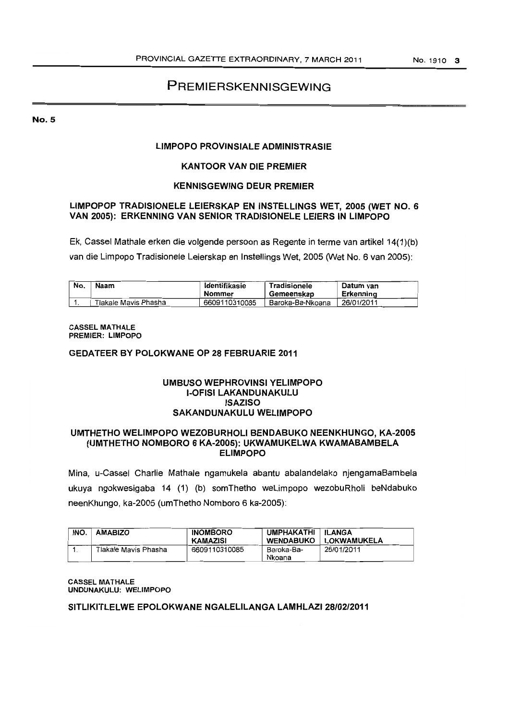# PREMIERSKENNISGEWING

NO.5

### LIMPOPO PROVINSIALE AOMINISTRASIE

### KANTOOR VAN DIE PREMIER

### KENNISGEWING OEUR PREMIER

### LlMPOPOP TRAOISIONELE LEIERSKAP EN INSTELLINGS WET, 2005 (WET NO.6 VAN 2005): ERKENNING VAN SENIOR TRADISIONELE LEIERS IN LIMPOPO

Ek, Cassel Mathale erken die volgende persoon as Regente in terme van artikeI14(1){b) van die Limpopo Tradisionele Leierskap en Instellings Wet, 2005 (Wet No. 6 van 2005):

| No. | Naam                 | ldentifikasie<br>Nommer | Tradisionele<br>Gemeenskap | Datum van<br>Erkennina |
|-----|----------------------|-------------------------|----------------------------|------------------------|
|     | Tlakale Mavis Phasha | 6609110310085           | Baroka-Ba-Nkoana           | 26/01/2011             |

#### CASSEL MATHALE PREMIER: LIMPOPO

#### GEDATEER BY POLOKWANE OP 28 FEBRUARIE 2011

### UMBUSO WEPHROVINSI YELIMPOPO '-OFISI LAKANOUNAKULU ISAZISO SAKANDUNAKULU WELIMPOPO

#### UMTHETHO WELIMPOPO WEZOBURHOLI BENDABUKO NEENKHUNGO, KA-2005 (UMTHETHO NOMBORO 6 KA-2005): UKWAMUKELWA KWAMABAMBELA ELIMPOPO

Mina, u-Cassel Charlie Mathale ngamukela abantu abalandelako njengamaBambela ukuya ngokwesigaba 14 (1) (b) somThetho weLimpopo wezobuRholi beNdabuko neenKhungo, ka-2005 (umThetho Nomboro 6 ka-2005):

| INO. | <b>AMABIZO</b>       | <b>INOMBORO</b><br>KAMAZISI | <b>UMPHAKATHI</b><br><b>WENDABUKO</b> | ∣ ILANGA<br>LOKWAMUKELA |
|------|----------------------|-----------------------------|---------------------------------------|-------------------------|
|      | Tlakale Mavis Phasha | 6609110310085               | Baroka-Ba-<br>Nkoana                  | 26/01/2011              |

#### CASSEL MATHALE UNDUNAKULU: WELIMPOPO

#### SITLIKITLELWE EPOLOKWANE NGALELILANGA LAMHLAZ128/02J2011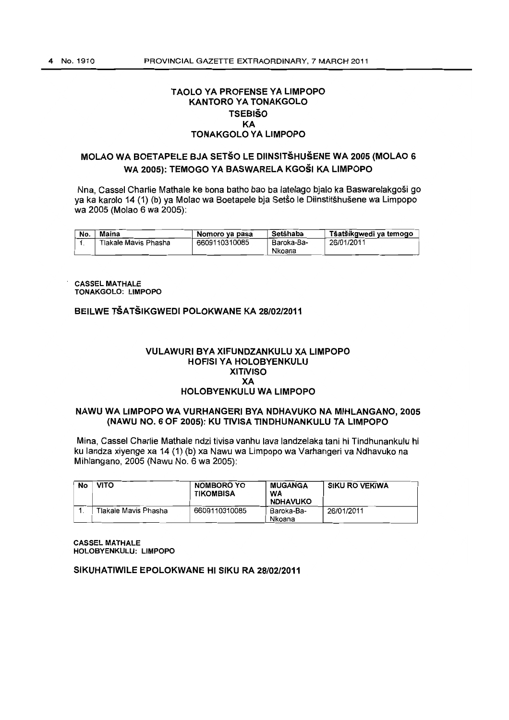### TAOLO YA PROFENSE YA LIMPOPO KANTORO YA TONAKGOLO **TSEBIŠO** KA TONAKGOLO YA LIMPOPO

# MOLAO WA BOETAPELE BJA SETSO LE DIINSITSHUSENE WA 2005 (MOLAO 6 WA 2005): TEMOGO YA BASWARELA KGOSI KA LIMPOPO

Nna. Cassel Charlie Mathale ke bona batho bao ba latelago bjalo ka Baswarelakgosi go ya ka karolo 14 (1) (b) ya Molao wa Boetapele bia Setso le Diinstitshusene wa Limpopo wa 2005 (Molao 6 wa 2005):

| No. | Maina                | Nomoro ya pasa | Setšhaba   | Tšatšikgwedi va temogo |
|-----|----------------------|----------------|------------|------------------------|
|     | Tlakale Mavis Phasha | 6609110310085  | Baroka-Ba- | 26/01/2011             |
|     |                      |                | Nkoana     |                        |

CASSEL MATHALE TONAKGOLO: LIMPOPO

# BEILWE TSATSIKGWEDI POLOKWANE KA *28/02/2011*

#### VULAWURI eYA XIFUNDZANKULU XA LIMPOPO HOFISI YA HOLOBYENKULU XITIVISO XA HOLOBYENKULU WA LIMPOPO

### NAWU WA LIMPOPO WA VURHANGERI eYA NDHAVUKO NA MIHLANGANO, 2005 (NAWU NO.6 OF 2005): KU TIVISA TINDHUNANKULU TA LIMPOPO

Mina, Cassel Charlie Mathale ndzi tivisa vanhu lava landzelaka tani hi Tindhunankulu hi ku landza xiyenge xa 14 (1) (b) xa Nawu wa Limpopo wa Varhangeri va Ndhavuko na Mihlangano. 2005 (Nawu NO.6 wa 2005):

| No | <b>VITO</b>          | NOMBORO YO<br><b>TIKOMBISA</b> | <b>MUGANGA</b><br>WA<br><b>NDHAVUKO</b> | <b>SIKU RO VEKIWA</b> |
|----|----------------------|--------------------------------|-----------------------------------------|-----------------------|
|    | Tlakale Mavis Phasha | 6609110310085                  | Baroka-Ba-<br>Nkoana                    | 26/01/2011            |

**CASSEL MATHALE** HOLOBYENKULU: LIMPOPO

SIKUHATIWILE EPOLOKWANE HI SIKU RA *28/02/2011*